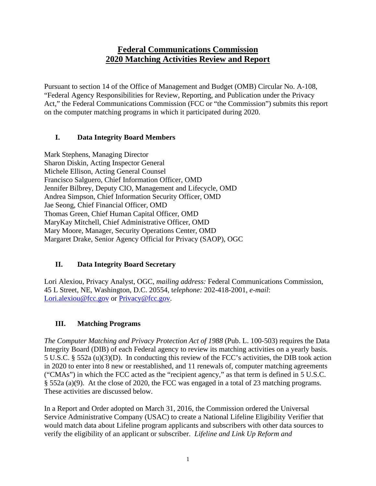# **Federal Communications Commission 2020 Matching Activities Review and Report**

Pursuant to section 14 of the Office of Management and Budget (OMB) Circular No. A-108, "Federal Agency Responsibilities for Review, Reporting, and Publication under the Privacy Act," the Federal Communications Commission (FCC or "the Commission") submits this report on the computer matching programs in which it participated during 2020.

### **I. Data Integrity Board Members**

Mark Stephens, Managing Director Sharon Diskin, Acting Inspector General Michele Ellison, Acting General Counsel Francisco Salguero, Chief Information Officer, OMD Jennifer Bilbrey, Deputy CIO, Management and Lifecycle, OMD Andrea Simpson, Chief Information Security Officer, OMD Jae Seong, Chief Financial Officer, OMD Thomas Green, Chief Human Capital Officer, OMD MaryKay Mitchell, Chief Administrative Officer, OMD Mary Moore, Manager, Security Operations Center, OMD Margaret Drake, Senior Agency Official for Privacy (SAOP), OGC

### **II. Data Integrity Board Secretary**

Lori Alexiou, Privacy Analyst, OGC, *mailing address:* Federal Communications Commission, 45 L Street, NE, Washington, D.C. 20554, t*elephone:* 202-418-2001, *e-mail*: [Lori.alexiou@fcc.gov](mailto:Lori.alexiou@fcc.gov) or [Privacy@fcc.gov.](mailto:Privacy@fcc.gov)

### **III. Matching Programs**

*The Computer Matching and Privacy Protection Act of 1988* (Pub. L. 100-503) requires the Data Integrity Board (DIB) of each Federal agency to review its matching activities on a yearly basis. 5 U.S.C. § 552a (u)(3)(D). In conducting this review of the FCC's activities, the DIB took action in 2020 to enter into 8 new or reestablished, and 11 renewals of, computer matching agreements ("CMAs") in which the FCC acted as the "recipient agency," as that term is defined in 5 U.S.C. § 552a (a)(9). At the close of 2020, the FCC was engaged in a total of 23 matching programs. These activities are discussed below.

In a Report and Order adopted on March 31, 2016, the Commission ordered the Universal Service Administrative Company (USAC) to create a National Lifeline Eligibility Verifier that would match data about Lifeline program applicants and subscribers with other data sources to verify the eligibility of an applicant or subscriber. *Lifeline and Link Up Reform and*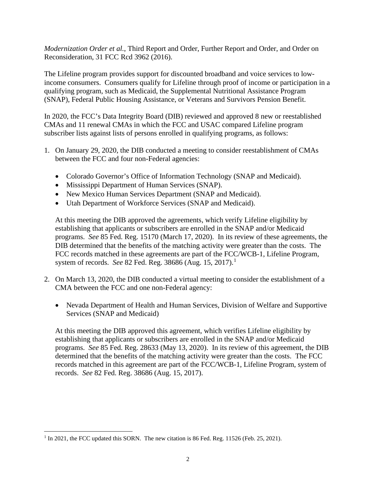*Modernization Order et al.*, Third Report and Order, Further Report and Order, and Order on Reconsideration, 31 FCC Rcd 3962 (2016).

The Lifeline program provides support for discounted broadband and voice services to lowincome consumers. Consumers qualify for Lifeline through proof of income or participation in a qualifying program, such as Medicaid, the Supplemental Nutritional Assistance Program (SNAP), Federal Public Housing Assistance, or Veterans and Survivors Pension Benefit.

In 2020, the FCC's Data Integrity Board (DIB) reviewed and approved 8 new or reestablished CMAs and 11 renewal CMAs in which the FCC and USAC compared Lifeline program subscriber lists against lists of persons enrolled in qualifying programs, as follows:

- 1. On January 29, 2020, the DIB conducted a meeting to consider reestablishment of CMAs between the FCC and four non-Federal agencies:
	- Colorado Governor's Office of Information Technology (SNAP and Medicaid).
	- Mississippi Department of Human Services (SNAP).
	- New Mexico Human Services Department (SNAP and Medicaid).
	- Utah Department of Workforce Services (SNAP and Medicaid).

At this meeting the DIB approved the agreements, which verify Lifeline eligibility by establishing that applicants or subscribers are enrolled in the SNAP and/or Medicaid programs. *See* 85 Fed. Reg. 15170 (March 17, 2020). In its review of these agreements, the DIB determined that the benefits of the matching activity were greater than the costs. The FCC records matched in these agreements are part of the FCC/WCB-1, Lifeline Program, system of records. *See* 82 Fed. Reg. 38686 (Aug. 15, 2017). [1](#page-1-0)

- 2. On March 13, 2020, the DIB conducted a virtual meeting to consider the establishment of a CMA between the FCC and one non-Federal agency:
	- Nevada Department of Health and Human Services, Division of Welfare and Supportive Services (SNAP and Medicaid)

At this meeting the DIB approved this agreement, which verifies Lifeline eligibility by establishing that applicants or subscribers are enrolled in the SNAP and/or Medicaid programs. *See* 85 Fed. Reg. 28633 (May 13, 2020). In its review of this agreement, the DIB determined that the benefits of the matching activity were greater than the costs. The FCC records matched in this agreement are part of the FCC/WCB-1, Lifeline Program, system of records. *See* 82 Fed. Reg. 38686 (Aug. 15, 2017).

<span id="page-1-0"></span><sup>&</sup>lt;sup>1</sup> In 2021, the FCC updated this SORN. The new citation is 86 Fed. Reg. 11526 (Feb. 25, 2021).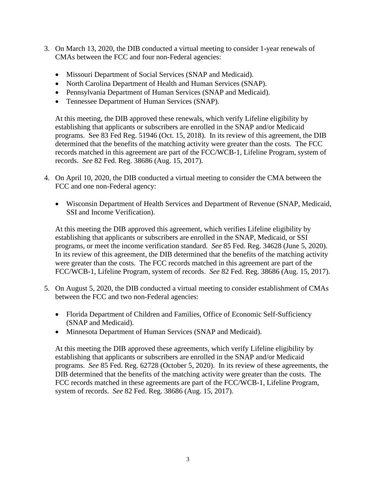- 3. On March 13, 2020, the DIB conducted a virtual meeting to consider 1-year renewals of CMAs between the FCC and four non-Federal agencies:
	- Missouri Department of Social Services (SNAP and Medicaid).
	- North Carolina Department of Health and Human Services (SNAP).
	- Pennsylvania Department of Human Services (SNAP and Medicaid).
	- Tennessee Department of Human Services (SNAP).

At this meeting, the DIB approved these renewals, which verify Lifeline eligibility by establishing that applicants or subscribers are enrolled in the SNAP and/or Medicaid programs. See 83 Fed Reg. 51946 (Oct. 15, 2018). In its review of this agreement, the DIB determined that the benefits of the matching activity were greater than the costs. The FCC records matched in this agreement are part of the FCC/WCB-1, Lifeline Program, system of records. *See* 82 Fed. Reg. 38686 (Aug. 15, 2017).

- 4. On April 10, 2020, the DIB conducted a virtual meeting to consider the CMA between the FCC and one non-Federal agency:
	- Wisconsin Department of Health Services and Department of Revenue (SNAP, Medicaid, SSI and Income Verification).

At this meeting the DIB approved this agreement, which verifies Lifeline eligibility by establishing that applicants or subscribers are enrolled in the SNAP, Medicaid, or SSI programs, or meet the income verification standard. *See* 85 Fed. Reg. 34628 (June 5, 2020). In its review of this agreement, the DIB determined that the benefits of the matching activity were greater than the costs. The FCC records matched in this agreement are part of the FCC/WCB-1, Lifeline Program, system of records. *See* 82 Fed. Reg. 38686 (Aug. 15, 2017).

- 5. On August 5, 2020, the DIB conducted a virtual meeting to consider establishment of CMAs between the FCC and two non-Federal agencies:
	- Florida Department of Children and Families, Office of Economic Self-Sufficiency (SNAP and Medicaid).
	- Minnesota Department of Human Services (SNAP and Medicaid).

At this meeting the DIB approved these agreements, which verify Lifeline eligibility by establishing that applicants or subscribers are enrolled in the SNAP and/or Medicaid programs. *See* 85 Fed. Reg. 62728 (October 5, 2020). In its review of these agreements, the DIB determined that the benefits of the matching activity were greater than the costs. The FCC records matched in these agreements are part of the FCC/WCB-1, Lifeline Program, system of records. *See* 82 Fed. Reg. 38686 (Aug. 15, 2017).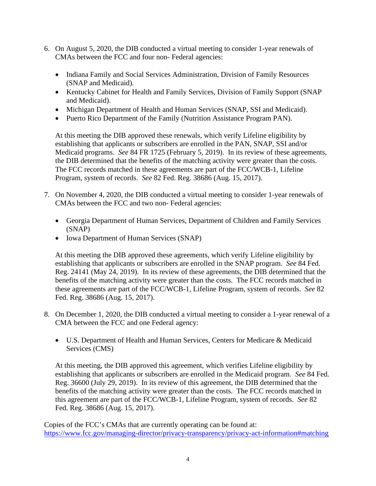- 6. On August 5, 2020, the DIB conducted a virtual meeting to consider 1-year renewals of CMAs between the FCC and four non- Federal agencies:
	- Indiana Family and Social Services Administration, Division of Family Resources (SNAP and Medicaid).
	- Kentucky Cabinet for Health and Family Services, Division of Family Support (SNAP and Medicaid).
	- Michigan Department of Health and Human Services (SNAP, SSI and Medicaid).
	- Puerto Rico Department of the Family (Nutrition Assistance Program PAN).

At this meeting the DIB approved these renewals, which verify Lifeline eligibility by establishing that applicants or subscribers are enrolled in the PAN, SNAP, SSI and/or Medicaid programs. *See* 84 FR 1725 (February 5, 2019). In its review of these agreements, the DIB determined that the benefits of the matching activity were greater than the costs. The FCC records matched in these agreements are part of the FCC/WCB-1, Lifeline Program, system of records. *See* 82 Fed. Reg. 38686 (Aug. 15, 2017).

- 7. On November 4, 2020, the DIB conducted a virtual meeting to consider 1-year renewals of CMAs between the FCC and two non- Federal agencies:
	- Georgia Department of Human Services, Department of Children and Family Services (SNAP)
	- Iowa Department of Human Services (SNAP)

At this meeting the DIB approved these agreements, which verify Lifeline eligibility by establishing that applicants or subscribers are enrolled in the SNAP program. *See* 84 Fed. Reg. 24141 (May 24, 2019). In its review of these agreements, the DIB determined that the benefits of the matching activity were greater than the costs. The FCC records matched in these agreements are part of the FCC/WCB-1, Lifeline Program, system of records. *See* 82 Fed. Reg. 38686 (Aug. 15, 2017).

- 8. On December 1, 2020, the DIB conducted a virtual meeting to consider a 1-year renewal of a CMA between the FCC and one Federal agency:
	- U.S. Department of Health and Human Services, Centers for Medicare & Medicaid Services (CMS)

At this meeting, the DIB approved this agreement, which verifies Lifeline eligibility by establishing that applicants or subscribers are enrolled in the Medicaid program. *See* 84 Fed. Reg. 36600 (July 29, 2019). In its review of this agreement, the DIB determined that the benefits of the matching activity were greater than the costs. The FCC records matched in this agreement are part of the FCC/WCB-1, Lifeline Program, system of records. *See* 82 Fed. Reg. 38686 (Aug. 15, 2017).

Copies of the FCC's CMAs that are currently operating can be found at: <https://www.fcc.gov/managing-director/privacy-transparency/privacy-act-information#matching>